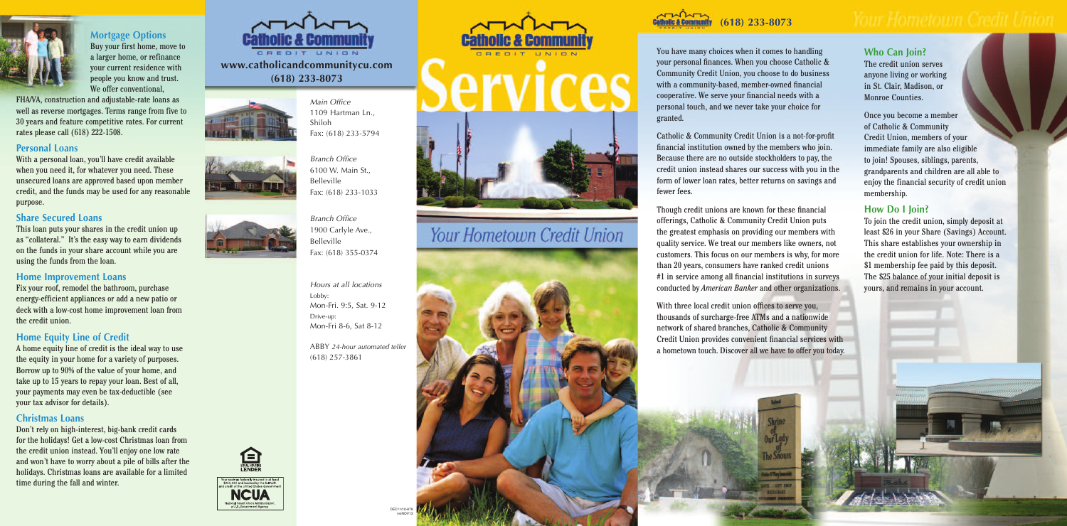

# **Mortgage Options**

Buy your first home, move to a larger home, or refinance your current residence with people you know and trust. We offer conventional,

FHA/VA, construction and adjustable-rate loans as well as reverse mortgages. Terms range from five to 30 years and feature competitive rates. For current rates please call (618) 222-1508.

#### **Personal Loans**

With a personal loan, you'll have credit available when you need it, for whatever you need. These unsecured loans are approved based upon member credit, and the funds may be used for any reasonable purpose.

#### **Share Secured Loans**

This loan puts your shares in the credit union up as "collateral." It's the easy way to earn dividends on the funds in your share account while you are using the funds from the loan.

#### **Home Improvement Loans**

Fix your roof, remodel the bathroom, purchase energy-efficient appliances or add a new patio or deck with a low-cost home improvement loan from the credit union.

## **Home Equity Line of Credit**

A home equity line of credit is the ideal way to use the equity in your home for a variety of purposes. Borrow up to 90% of the value of your home, and take up to 15 years to repay your loan. Best of all, your payments may even be tax-deductible (see your tax advisor for details).

#### **Christmas Loans**

Don't rely on high-interest, big-bank credit cards for the holidays! Get a low-cost Christmas loan from the credit union instead. You'll enjoy one low rate and won't have to worry about a pile of bills after the holidays. Christmas loans are available for a limited time during the fall and winter.



*Branch Office* 1900 Carlyle Ave., Belleville F a x : ( 6 1 8 ) 3 5 5 - 0 3 7 4

*Hours* at all locations Lobby: Mon-Fri. 9:5, Sat. 9-12 Drive-up: Mon-Fri 8-6, Sat 8-12

ABBY 24-hour automated teller (618) 257-3861





# Your Hometown Credit Union



www.catholicandcommunitycu.com **( 6 1 8 ) 2 3 3 - 8 0 7 3**



**ALLY MALL holic & Community ( 6 1 8 ) 2 3 3 - 8 0 7 3**

You have many choices when it comes to handling your personal finances. When you choose Catholic & Community Credit Union, you choose to do business with a community-based, member-owned financial cooperative. We serve your financial needs with a personal touch, and we never take your choice for granted.

Catholic & Community Credit Union is a not-for-profit financial institution owned by the members who join. Because there are no outside stockholders to pay, the credit union instead shares our success with you in the form of lower loan rates, better returns on savings and fewer fees.

Though credit unions are known for these financial offerings, Catholic & Community Credit Union puts the greatest emphasis on providing our members with quality service. We treat our members like owners, not customers. This focus on our members is why, for more than 20 years, consumers have ranked credit unions #1 in service among all financial institutions in surveys conducted by *American Banker* and other organizations.

With three local credit union offices to serve you, thousands of surcharge-free ATMs and a nationwide network of shared branches, Catholic & Community Credit Union provides convenient financial services with a hometown touch. Discover all we have to offer you today.

#### **W h o C a n J o i n ?**

The credit union serves anyone living or working in St. Clair, Madison, or Monroe Counties.

Once you become a member of Catholic & Community Credit Union, members of your immediate family are also eligible to join! Spouses, siblings, parents, grandparents and children are all able to enjoy the financial security of credit union membership.

#### **How Do I Join?**

To join the credit union, simply deposit at least \$26 in your Share (Savings) Account. This share establishes your ownership in the credit union for life. Note: There is a \$1 membership fee paid by this deposit. The \$25 balance of your initial deposit is yours, and remains in your account.

*M a i n O ffic e* 1109 Hartman Ln., Shiloh F a x : ( 6 1 8 ) 2 3 3 - 5 7 9 4



*Branch Office* 6100 W. Main St., Belleville Fax: (618) 233-1033

> D E